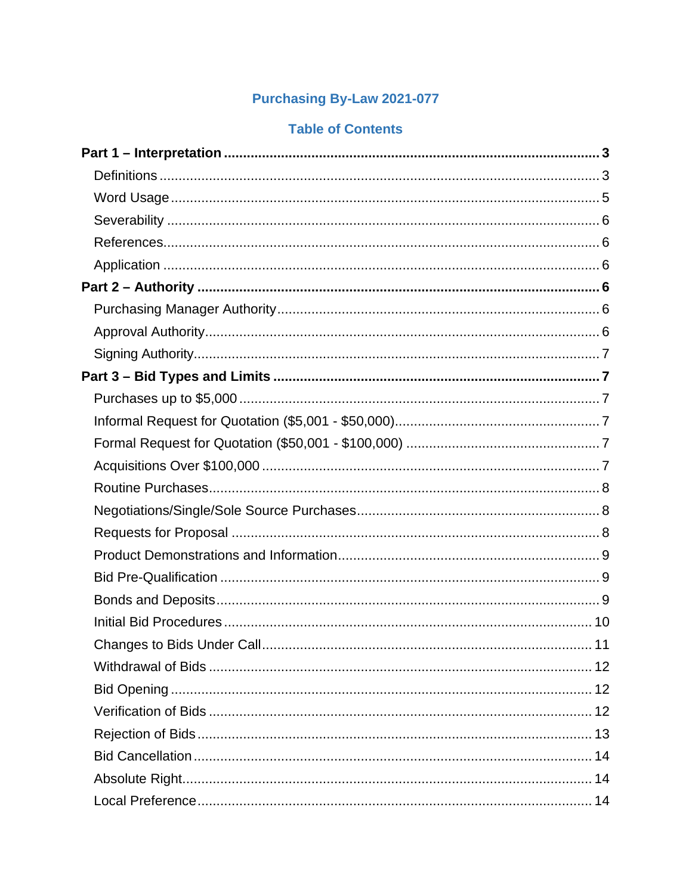# **Purchasing By-Law 2021-077**

## **Table of Contents**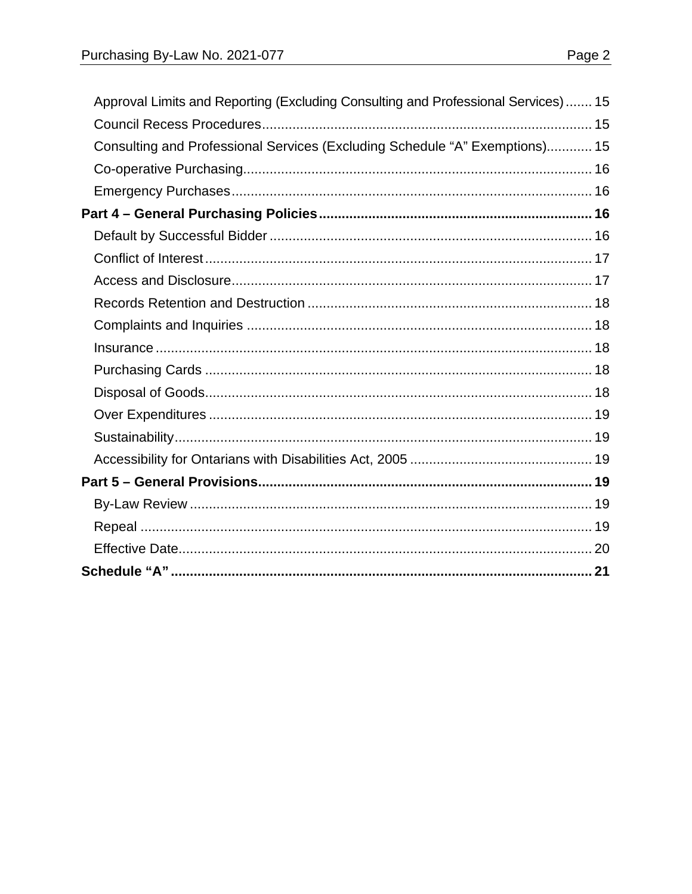| Approval Limits and Reporting (Excluding Consulting and Professional Services)  15 |
|------------------------------------------------------------------------------------|
|                                                                                    |
| Consulting and Professional Services (Excluding Schedule "A" Exemptions) 15        |
|                                                                                    |
|                                                                                    |
|                                                                                    |
|                                                                                    |
|                                                                                    |
|                                                                                    |
|                                                                                    |
|                                                                                    |
|                                                                                    |
|                                                                                    |
|                                                                                    |
|                                                                                    |
|                                                                                    |
|                                                                                    |
|                                                                                    |
|                                                                                    |
|                                                                                    |
|                                                                                    |
|                                                                                    |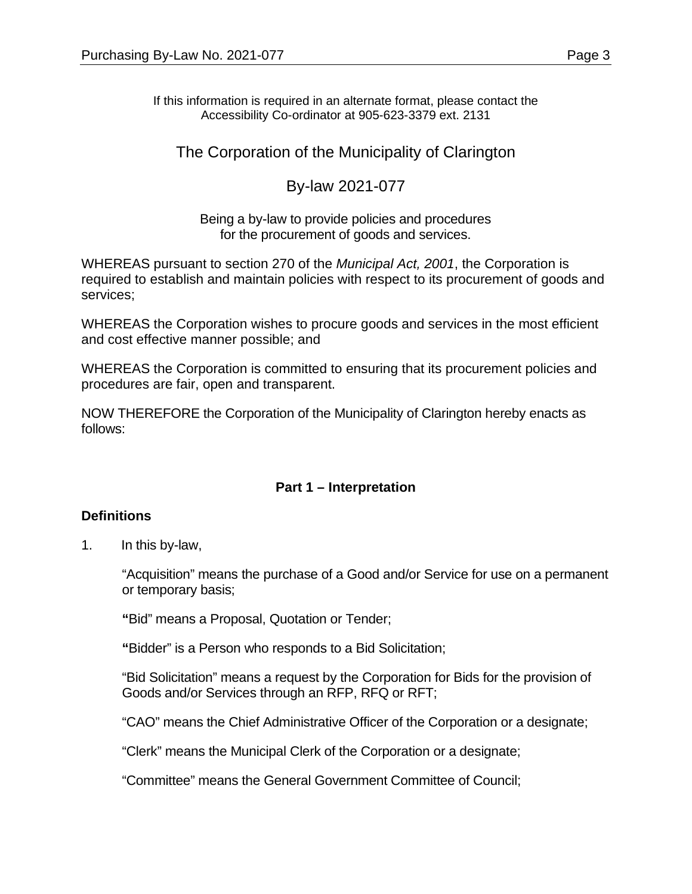If this information is required in an alternate format, please contact the Accessibility Co-ordinator at 905-623-3379 ext. 2131

## The Corporation of the Municipality of Clarington

## By-law 2021-077

Being a by-law to provide policies and procedures for the procurement of goods and services.

WHEREAS pursuant to section 270 of the *Municipal Act, 2001*, the Corporation is required to establish and maintain policies with respect to its procurement of goods and services;

WHEREAS the Corporation wishes to procure goods and services in the most efficient and cost effective manner possible; and

WHEREAS the Corporation is committed to ensuring that its procurement policies and procedures are fair, open and transparent.

NOW THEREFORE the Corporation of the Municipality of Clarington hereby enacts as follows:

## **Part 1 – Interpretation**

## <span id="page-2-1"></span><span id="page-2-0"></span>**Definitions**

1. In this by-law,

"Acquisition" means the purchase of a Good and/or Service for use on a permanent or temporary basis;

**"**Bid" means a Proposal, Quotation or Tender;

**"**Bidder" is a Person who responds to a Bid Solicitation;

"Bid Solicitation" means a request by the Corporation for Bids for the provision of Goods and/or Services through an RFP, RFQ or RFT;

"CAO" means the Chief Administrative Officer of the Corporation or a designate;

"Clerk" means the Municipal Clerk of the Corporation or a designate;

"Committee" means the General Government Committee of Council;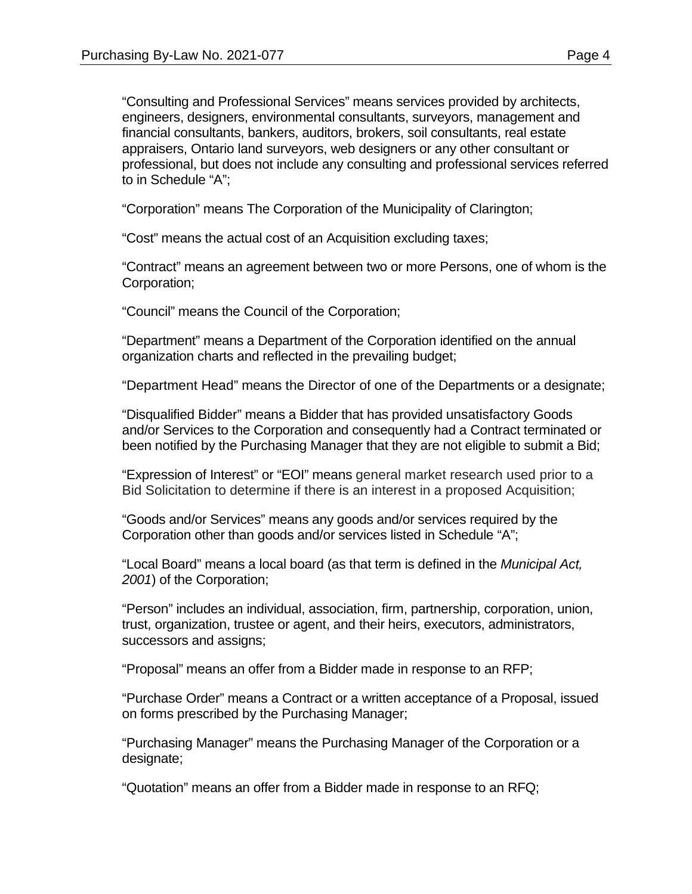"Consulting and Professional Services" means services provided by architects, engineers, designers, environmental consultants, surveyors, management and financial consultants, bankers, auditors, brokers, soil consultants, real estate appraisers, Ontario land surveyors, web designers or any other consultant or professional, but does not include any consulting and professional services referred to in Schedule "A";

"Corporation" means The Corporation of the Municipality of Clarington;

"Cost" means the actual cost of an Acquisition excluding taxes;

"Contract" means an agreement between two or more Persons, one of whom is the Corporation;

"Council" means the Council of the Corporation;

"Department" means a Department of the Corporation identified on the annual organization charts and reflected in the prevailing budget;

"Department Head" means the Director of one of the Departments or a designate;

"Disqualified Bidder" means a Bidder that has provided unsatisfactory Goods and/or Services to the Corporation and consequently had a Contract terminated or been notified by the Purchasing Manager that they are not eligible to submit a Bid;

"Expression of Interest" or "EOI" means general market research used prior to a Bid Solicitation to determine if there is an interest in a proposed Acquisition;

"Goods and/or Services" means any goods and/or services required by the Corporation other than goods and/or services listed in Schedule "A";

"Local Board" means a local board (as that term is defined in the *Municipal Act, 2001*) of the Corporation;

"Person" includes an individual, association, firm, partnership, corporation, union, trust, organization, trustee or agent, and their heirs, executors, administrators, successors and assigns;

"Proposal" means an offer from a Bidder made in response to an RFP;

"Purchase Order" means a Contract or a written acceptance of a Proposal, issued on forms prescribed by the Purchasing Manager;

"Purchasing Manager" means the Purchasing Manager of the Corporation or a designate;

"Quotation" means an offer from a Bidder made in response to an RFQ;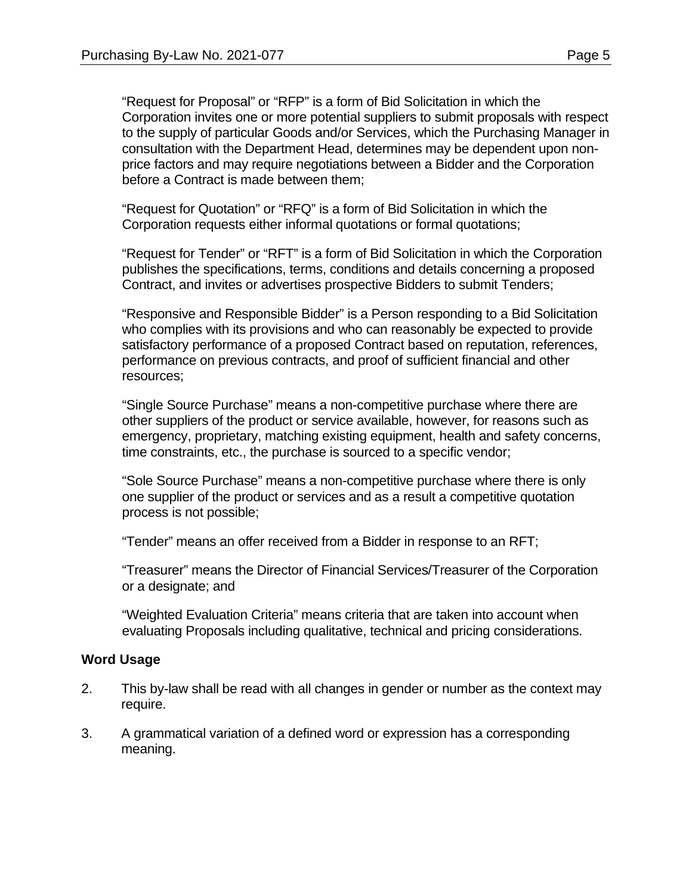"Request for Proposal" or "RFP" is a form of Bid Solicitation in which the Corporation invites one or more potential suppliers to submit proposals with respect to the supply of particular Goods and/or Services, which the Purchasing Manager in consultation with the Department Head, determines may be dependent upon nonprice factors and may require negotiations between a Bidder and the Corporation before a Contract is made between them;

"Request for Quotation" or "RFQ" is a form of Bid Solicitation in which the Corporation requests either informal quotations or formal quotations;

"Request for Tender" or "RFT" is a form of Bid Solicitation in which the Corporation publishes the specifications, terms, conditions and details concerning a proposed Contract, and invites or advertises prospective Bidders to submit Tenders;

"Responsive and Responsible Bidder" is a Person responding to a Bid Solicitation who complies with its provisions and who can reasonably be expected to provide satisfactory performance of a proposed Contract based on reputation, references, performance on previous contracts, and proof of sufficient financial and other resources;

"Single Source Purchase" means a non-competitive purchase where there are other suppliers of the product or service available, however, for reasons such as emergency, proprietary, matching existing equipment, health and safety concerns, time constraints, etc., the purchase is sourced to a specific vendor;

"Sole Source Purchase" means a non-competitive purchase where there is only one supplier of the product or services and as a result a competitive quotation process is not possible;

"Tender" means an offer received from a Bidder in response to an RFT;

"Treasurer" means the Director of Financial Services/Treasurer of the Corporation or a designate; and

"Weighted Evaluation Criteria" means criteria that are taken into account when evaluating Proposals including qualitative, technical and pricing considerations.

#### <span id="page-4-0"></span>**Word Usage**

- 2. This by-law shall be read with all changes in gender or number as the context may require.
- 3. A grammatical variation of a defined word or expression has a corresponding meaning.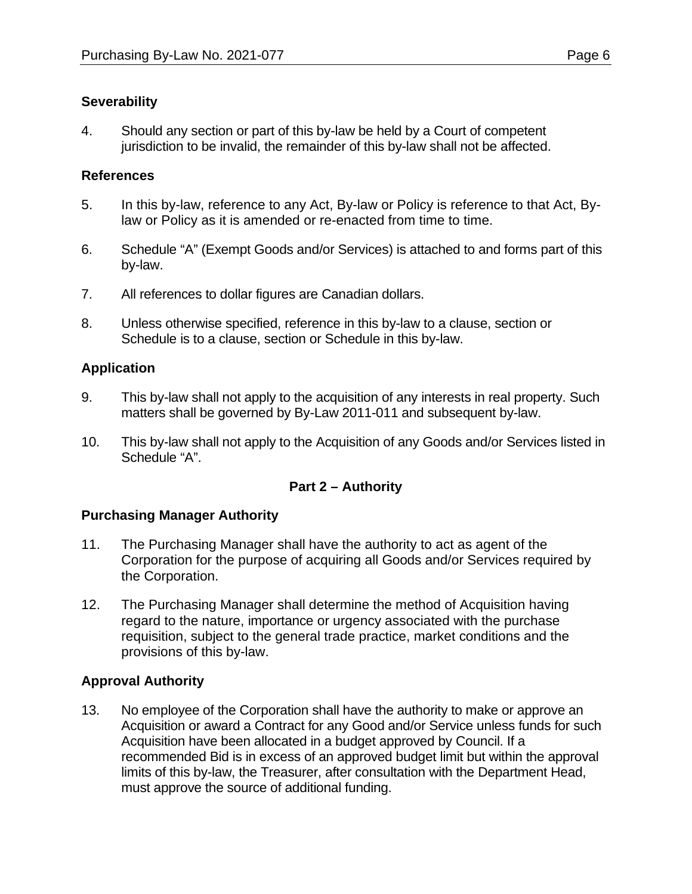## <span id="page-5-0"></span>**Severability**

4. Should any section or part of this by-law be held by a Court of competent jurisdiction to be invalid, the remainder of this by-law shall not be affected.

## <span id="page-5-1"></span>**References**

- 5. In this by-law, reference to any Act, By-law or Policy is reference to that Act, Bylaw or Policy as it is amended or re-enacted from time to time.
- 6. Schedule "A" (Exempt Goods and/or Services) is attached to and forms part of this by-law.
- 7. All references to dollar figures are Canadian dollars.
- 8. Unless otherwise specified, reference in this by-law to a clause, section or Schedule is to a clause, section or Schedule in this by-law.

## <span id="page-5-2"></span>**Application**

- 9. This by-law shall not apply to the acquisition of any interests in real property. Such matters shall be governed by By-Law 2011-011 and subsequent by-law.
- 10. This by-law shall not apply to the Acquisition of any Goods and/or Services listed in Schedule "A".

## **Part 2 – Authority**

#### <span id="page-5-4"></span><span id="page-5-3"></span>**Purchasing Manager Authority**

- 11. The Purchasing Manager shall have the authority to act as agent of the Corporation for the purpose of acquiring all Goods and/or Services required by the Corporation.
- 12. The Purchasing Manager shall determine the method of Acquisition having regard to the nature, importance or urgency associated with the purchase requisition, subject to the general trade practice, market conditions and the provisions of this by-law.

#### <span id="page-5-5"></span>**Approval Authority**

13. No employee of the Corporation shall have the authority to make or approve an Acquisition or award a Contract for any Good and/or Service unless funds for such Acquisition have been allocated in a budget approved by Council. If a recommended Bid is in excess of an approved budget limit but within the approval limits of this by-law, the Treasurer, after consultation with the Department Head, must approve the source of additional funding.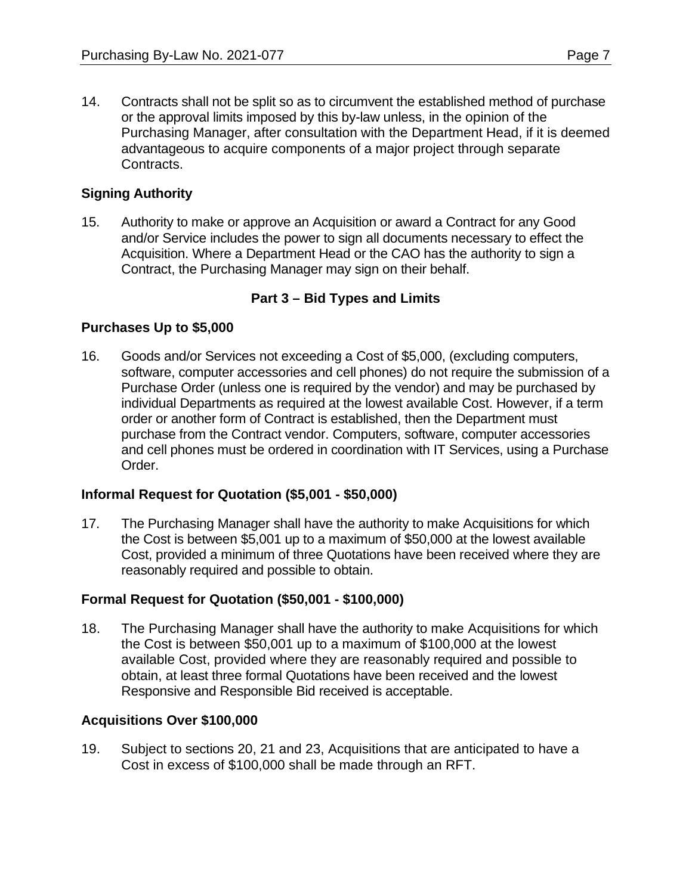14. Contracts shall not be split so as to circumvent the established method of purchase or the approval limits imposed by this by-law unless, in the opinion of the Purchasing Manager, after consultation with the Department Head, if it is deemed advantageous to acquire components of a major project through separate Contracts.

## <span id="page-6-0"></span>**Signing Authority**

15. Authority to make or approve an Acquisition or award a Contract for any Good and/or Service includes the power to sign all documents necessary to effect the Acquisition. Where a Department Head or the CAO has the authority to sign a Contract, the Purchasing Manager may sign on their behalf.

## **Part 3 – Bid Types and Limits**

## <span id="page-6-2"></span><span id="page-6-1"></span>**Purchases Up to \$5,000**

16. Goods and/or Services not exceeding a Cost of \$5,000, (excluding computers, software, computer accessories and cell phones) do not require the submission of a Purchase Order (unless one is required by the vendor) and may be purchased by individual Departments as required at the lowest available Cost. However, if a term order or another form of Contract is established, then the Department must purchase from the Contract vendor. Computers, software, computer accessories and cell phones must be ordered in coordination with IT Services, using a Purchase Order.

#### <span id="page-6-3"></span>**Informal Request for Quotation (\$5,001 - \$50,000)**

17. The Purchasing Manager shall have the authority to make Acquisitions for which the Cost is between \$5,001 up to a maximum of \$50,000 at the lowest available Cost, provided a minimum of three Quotations have been received where they are reasonably required and possible to obtain.

#### <span id="page-6-4"></span>**Formal Request for Quotation (\$50,001 - \$100,000)**

18. The Purchasing Manager shall have the authority to make Acquisitions for which the Cost is between \$50,001 up to a maximum of \$100,000 at the lowest available Cost, provided where they are reasonably required and possible to obtain, at least three formal Quotations have been received and the lowest Responsive and Responsible Bid received is acceptable.

## <span id="page-6-5"></span>**Acquisitions Over \$100,000**

19. Subject to sections 20, 21 and 23, Acquisitions that are anticipated to have a Cost in excess of \$100,000 shall be made through an RFT.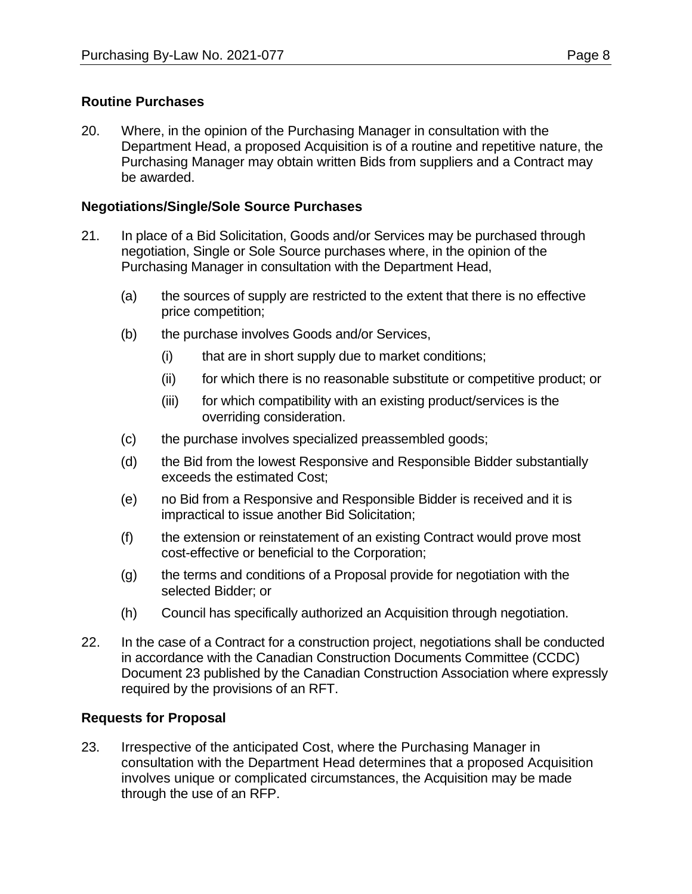## <span id="page-7-0"></span>**Routine Purchases**

20. Where, in the opinion of the Purchasing Manager in consultation with the Department Head, a proposed Acquisition is of a routine and repetitive nature, the Purchasing Manager may obtain written Bids from suppliers and a Contract may be awarded.

## <span id="page-7-1"></span>**Negotiations/Single/Sole Source Purchases**

- 21. In place of a Bid Solicitation, Goods and/or Services may be purchased through negotiation, Single or Sole Source purchases where, in the opinion of the Purchasing Manager in consultation with the Department Head,
	- (a) the sources of supply are restricted to the extent that there is no effective price competition;
	- (b) the purchase involves Goods and/or Services,
		- (i) that are in short supply due to market conditions;
		- (ii) for which there is no reasonable substitute or competitive product; or
		- (iii) for which compatibility with an existing product/services is the overriding consideration.
	- (c) the purchase involves specialized preassembled goods;
	- (d) the Bid from the lowest Responsive and Responsible Bidder substantially exceeds the estimated Cost;
	- (e) no Bid from a Responsive and Responsible Bidder is received and it is impractical to issue another Bid Solicitation;
	- (f) the extension or reinstatement of an existing Contract would prove most cost-effective or beneficial to the Corporation;
	- (g) the terms and conditions of a Proposal provide for negotiation with the selected Bidder; or
	- (h) Council has specifically authorized an Acquisition through negotiation.
- 22. In the case of a Contract for a construction project, negotiations shall be conducted in accordance with the Canadian Construction Documents Committee (CCDC) Document 23 published by the Canadian Construction Association where expressly required by the provisions of an RFT.

## <span id="page-7-2"></span>**Requests for Proposal**

23. Irrespective of the anticipated Cost, where the Purchasing Manager in consultation with the Department Head determines that a proposed Acquisition involves unique or complicated circumstances, the Acquisition may be made through the use of an RFP.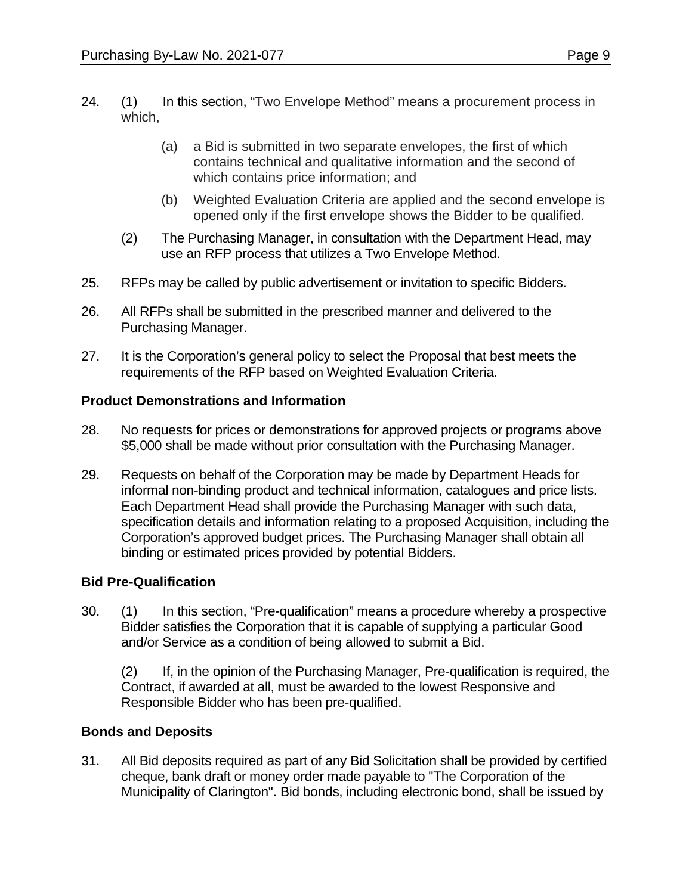- 24. (1) In this section, "Two Envelope Method" means a procurement process in which,
	- (a) a Bid is submitted in two separate envelopes, the first of which contains technical and qualitative information and the second of which contains price information; and
	- (b) Weighted Evaluation Criteria are applied and the second envelope is opened only if the first envelope shows the Bidder to be qualified.
	- (2) The Purchasing Manager, in consultation with the Department Head, may use an RFP process that utilizes a Two Envelope Method.
- 25. RFPs may be called by public advertisement or invitation to specific Bidders.
- 26. All RFPs shall be submitted in the prescribed manner and delivered to the Purchasing Manager.
- 27. It is the Corporation's general policy to select the Proposal that best meets the requirements of the RFP based on Weighted Evaluation Criteria.

#### <span id="page-8-0"></span>**Product Demonstrations and Information**

- 28. No requests for prices or demonstrations for approved projects or programs above \$5,000 shall be made without prior consultation with the Purchasing Manager.
- 29. Requests on behalf of the Corporation may be made by Department Heads for informal non-binding product and technical information, catalogues and price lists. Each Department Head shall provide the Purchasing Manager with such data, specification details and information relating to a proposed Acquisition, including the Corporation's approved budget prices. The Purchasing Manager shall obtain all binding or estimated prices provided by potential Bidders.

#### <span id="page-8-1"></span>**Bid Pre-Qualification**

30. (1) In this section, "Pre-qualification" means a procedure whereby a prospective Bidder satisfies the Corporation that it is capable of supplying a particular Good and/or Service as a condition of being allowed to submit a Bid.

(2) If, in the opinion of the Purchasing Manager, Pre-qualification is required, the Contract, if awarded at all, must be awarded to the lowest Responsive and Responsible Bidder who has been pre-qualified.

#### <span id="page-8-2"></span>**Bonds and Deposits**

31. All Bid deposits required as part of any Bid Solicitation shall be provided by certified cheque, bank draft or money order made payable to "The Corporation of the Municipality of Clarington". Bid bonds, including electronic bond, shall be issued by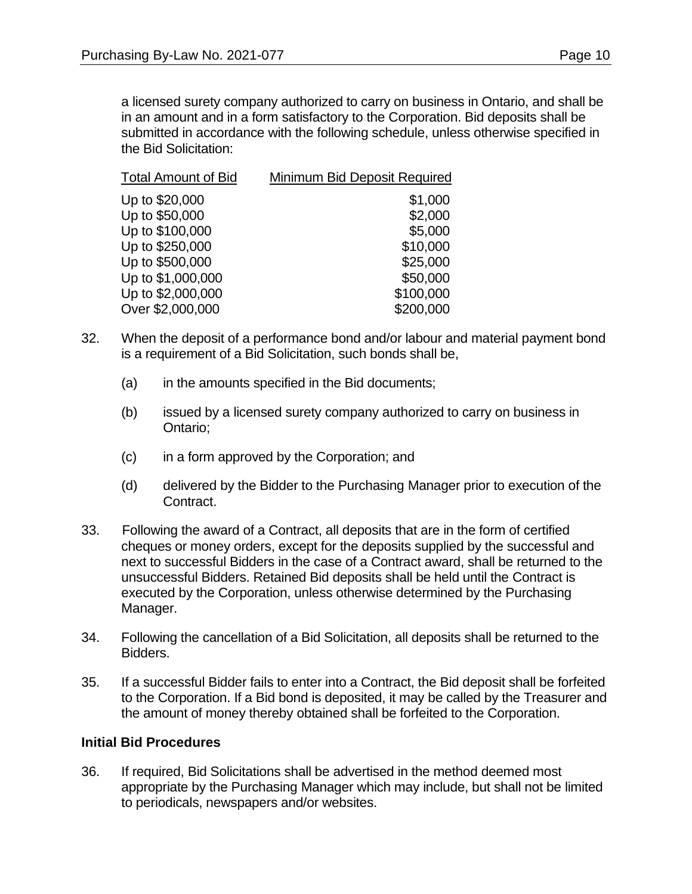a licensed surety company authorized to carry on business in Ontario, and shall be in an amount and in a form satisfactory to the Corporation. Bid deposits shall be submitted in accordance with the following schedule, unless otherwise specified in the Bid Solicitation:

| Minimum Bid Deposit Required |
|------------------------------|
| \$1,000                      |
| \$2,000                      |
| \$5,000                      |
| \$10,000                     |
| \$25,000                     |
| \$50,000                     |
| \$100,000                    |
| \$200,000                    |
|                              |

- 32. When the deposit of a performance bond and/or labour and material payment bond is a requirement of a Bid Solicitation, such bonds shall be,
	- (a) in the amounts specified in the Bid documents;
	- (b) issued by a licensed surety company authorized to carry on business in Ontario;
	- (c) in a form approved by the Corporation; and
	- (d) delivered by the Bidder to the Purchasing Manager prior to execution of the Contract.
- 33. Following the award of a Contract, all deposits that are in the form of certified cheques or money orders, except for the deposits supplied by the successful and next to successful Bidders in the case of a Contract award, shall be returned to the unsuccessful Bidders. Retained Bid deposits shall be held until the Contract is executed by the Corporation, unless otherwise determined by the Purchasing Manager.
- 34. Following the cancellation of a Bid Solicitation, all deposits shall be returned to the Bidders.
- 35. If a successful Bidder fails to enter into a Contract, the Bid deposit shall be forfeited to the Corporation. If a Bid bond is deposited, it may be called by the Treasurer and the amount of money thereby obtained shall be forfeited to the Corporation.

#### <span id="page-9-0"></span>**Initial Bid Procedures**

36. If required, Bid Solicitations shall be advertised in the method deemed most appropriate by the Purchasing Manager which may include, but shall not be limited to periodicals, newspapers and/or websites.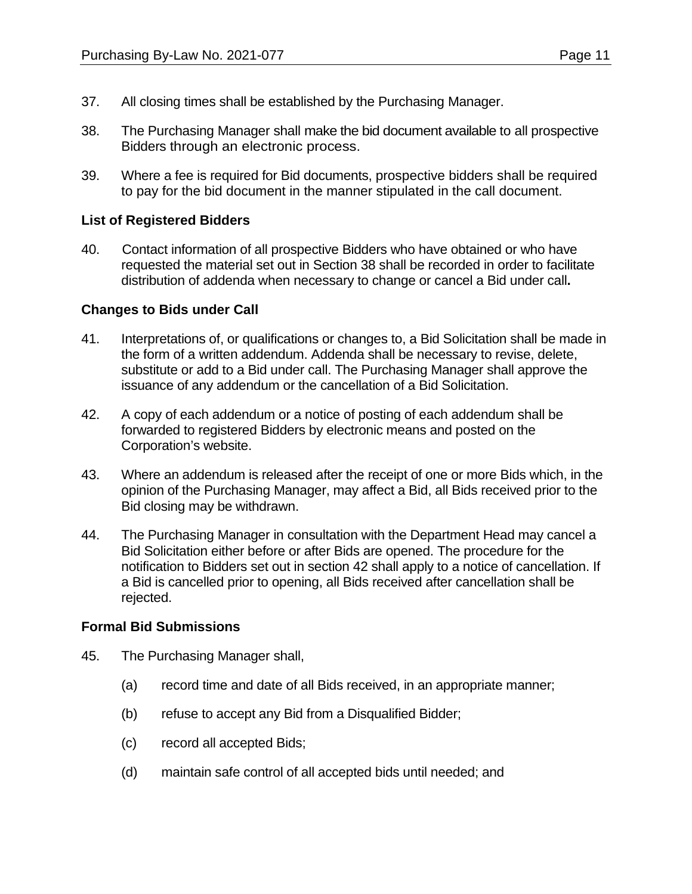- 37. All closing times shall be established by the Purchasing Manager.
- 38. The Purchasing Manager shall make the bid document available to all prospective Bidders through an electronic process.
- 39. Where a fee is required for Bid documents, prospective bidders shall be required to pay for the bid document in the manner stipulated in the call document.

## **List of Registered Bidders**

40. Contact information of all prospective Bidders who have obtained or who have requested the material set out in Section 38 shall be recorded in order to facilitate distribution of addenda when necessary to change or cancel a Bid under call**.**

## <span id="page-10-0"></span>**Changes to Bids under Call**

- 41. Interpretations of, or qualifications or changes to, a Bid Solicitation shall be made in the form of a written addendum. Addenda shall be necessary to revise, delete, substitute or add to a Bid under call. The Purchasing Manager shall approve the issuance of any addendum or the cancellation of a Bid Solicitation.
- 42. A copy of each addendum or a notice of posting of each addendum shall be forwarded to registered Bidders by electronic means and posted on the Corporation's website.
- 43. Where an addendum is released after the receipt of one or more Bids which, in the opinion of the Purchasing Manager, may affect a Bid, all Bids received prior to the Bid closing may be withdrawn.
- 44. The Purchasing Manager in consultation with the Department Head may cancel a Bid Solicitation either before or after Bids are opened. The procedure for the notification to Bidders set out in section 42 shall apply to a notice of cancellation. If a Bid is cancelled prior to opening, all Bids received after cancellation shall be rejected.

#### **Formal Bid Submissions**

- 45. The Purchasing Manager shall,
	- (a) record time and date of all Bids received, in an appropriate manner;
	- (b) refuse to accept any Bid from a Disqualified Bidder;
	- (c) record all accepted Bids;
	- (d) maintain safe control of all accepted bids until needed; and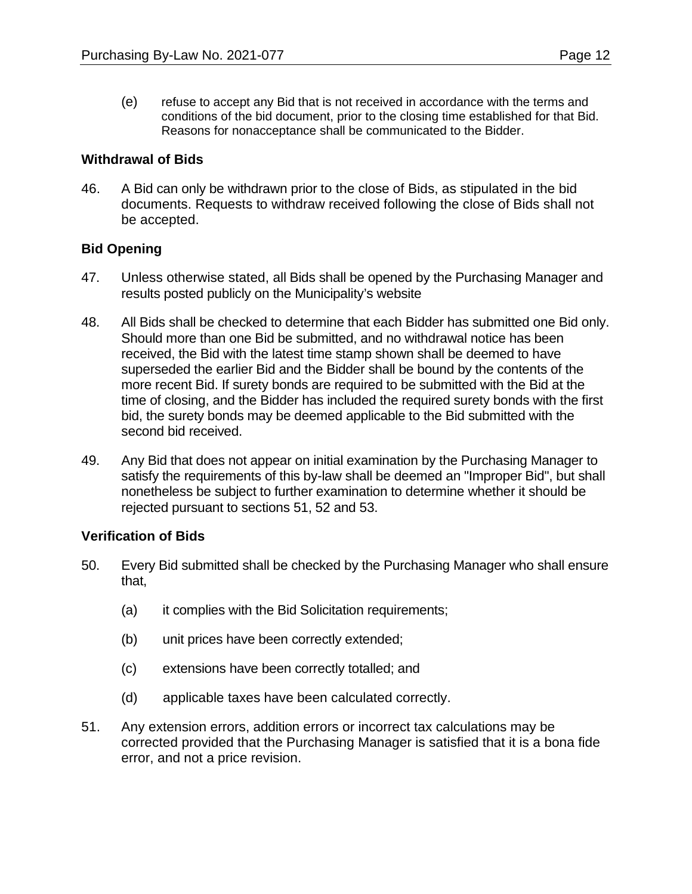#### <span id="page-11-0"></span>**Withdrawal of Bids**

46. A Bid can only be withdrawn prior to the close of Bids, as stipulated in the bid documents. Requests to withdraw received following the close of Bids shall not be accepted.

#### <span id="page-11-1"></span>**Bid Opening**

- 47. Unless otherwise stated, all Bids shall be opened by the Purchasing Manager and results posted publicly on the Municipality's website
- 48. All Bids shall be checked to determine that each Bidder has submitted one Bid only. Should more than one Bid be submitted, and no withdrawal notice has been received, the Bid with the latest time stamp shown shall be deemed to have superseded the earlier Bid and the Bidder shall be bound by the contents of the more recent Bid. If surety bonds are required to be submitted with the Bid at the time of closing, and the Bidder has included the required surety bonds with the first bid, the surety bonds may be deemed applicable to the Bid submitted with the second bid received.
- 49. Any Bid that does not appear on initial examination by the Purchasing Manager to satisfy the requirements of this by-law shall be deemed an "Improper Bid", but shall nonetheless be subject to further examination to determine whether it should be rejected pursuant to sections 51, 52 and 53.

#### <span id="page-11-2"></span>**Verification of Bids**

- 50. Every Bid submitted shall be checked by the Purchasing Manager who shall ensure that,
	- (a) it complies with the Bid Solicitation requirements;
	- (b) unit prices have been correctly extended;
	- (c) extensions have been correctly totalled; and
	- (d) applicable taxes have been calculated correctly.
- 51. Any extension errors, addition errors or incorrect tax calculations may be corrected provided that the Purchasing Manager is satisfied that it is a bona fide error, and not a price revision.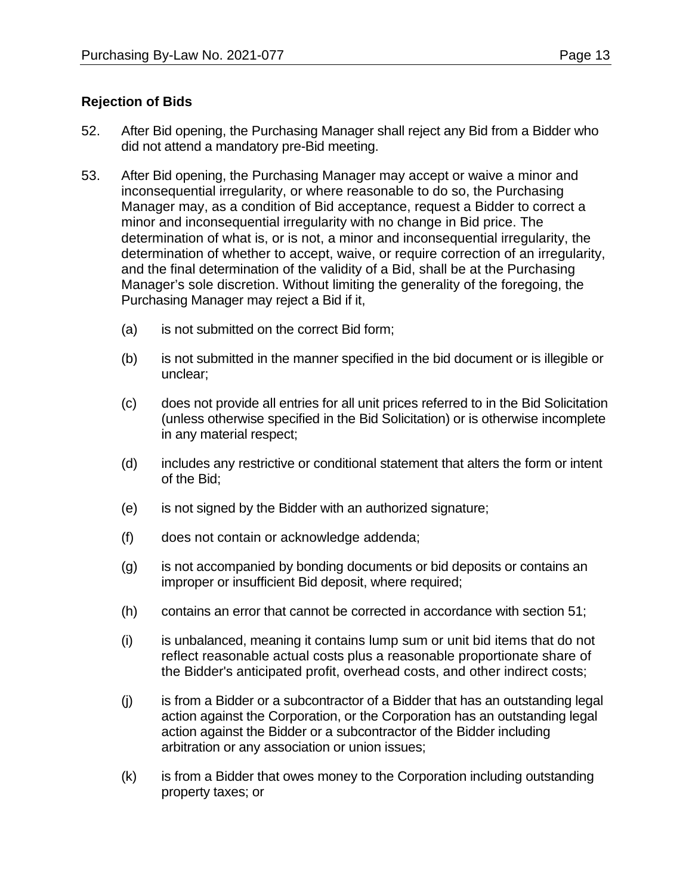## <span id="page-12-0"></span>**Rejection of Bids**

- 52. After Bid opening, the Purchasing Manager shall reject any Bid from a Bidder who did not attend a mandatory pre-Bid meeting.
- 53. After Bid opening, the Purchasing Manager may accept or waive a minor and inconsequential irregularity, or where reasonable to do so, the Purchasing Manager may, as a condition of Bid acceptance, request a Bidder to correct a minor and inconsequential irregularity with no change in Bid price. The determination of what is, or is not, a minor and inconsequential irregularity, the determination of whether to accept, waive, or require correction of an irregularity, and the final determination of the validity of a Bid, shall be at the Purchasing Manager's sole discretion. Without limiting the generality of the foregoing, the Purchasing Manager may reject a Bid if it,
	- (a) is not submitted on the correct Bid form;
	- (b) is not submitted in the manner specified in the bid document or is illegible or unclear;
	- (c) does not provide all entries for all unit prices referred to in the Bid Solicitation (unless otherwise specified in the Bid Solicitation) or is otherwise incomplete in any material respect;
	- (d) includes any restrictive or conditional statement that alters the form or intent of the Bid;
	- (e) is not signed by the Bidder with an authorized signature;
	- (f) does not contain or acknowledge addenda;
	- (g) is not accompanied by bonding documents or bid deposits or contains an improper or insufficient Bid deposit, where required;
	- (h) contains an error that cannot be corrected in accordance with section 51;
	- (i) is unbalanced, meaning it contains lump sum or unit bid items that do not reflect reasonable actual costs plus a reasonable proportionate share of the Bidder's anticipated profit, overhead costs, and other indirect costs;
	- (j) is from a Bidder or a subcontractor of a Bidder that has an outstanding legal action against the Corporation, or the Corporation has an outstanding legal action against the Bidder or a subcontractor of the Bidder including arbitration or any association or union issues;
	- (k) is from a Bidder that owes money to the Corporation including outstanding property taxes; or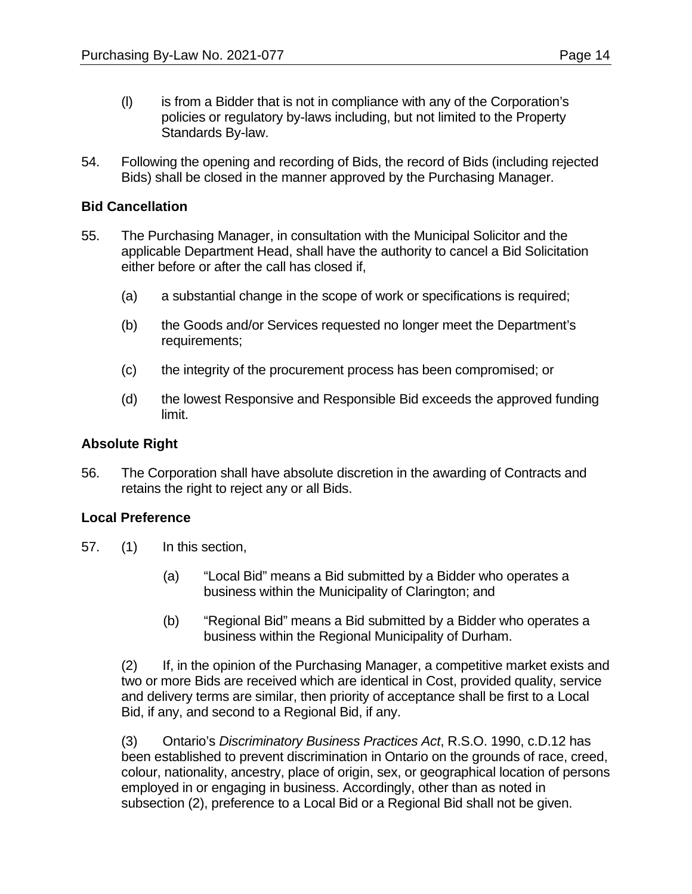- (l) is from a Bidder that is not in compliance with any of the Corporation's policies or regulatory by-laws including, but not limited to the Property Standards By-law.
- 54. Following the opening and recording of Bids, the record of Bids (including rejected Bids) shall be closed in the manner approved by the Purchasing Manager.

## <span id="page-13-0"></span>**Bid Cancellation**

- 55. The Purchasing Manager, in consultation with the Municipal Solicitor and the applicable Department Head, shall have the authority to cancel a Bid Solicitation either before or after the call has closed if,
	- (a) a substantial change in the scope of work or specifications is required;
	- (b) the Goods and/or Services requested no longer meet the Department's requirements;
	- (c) the integrity of the procurement process has been compromised; or
	- (d) the lowest Responsive and Responsible Bid exceeds the approved funding limit.

## <span id="page-13-1"></span>**Absolute Right**

56. The Corporation shall have absolute discretion in the awarding of Contracts and retains the right to reject any or all Bids.

#### <span id="page-13-2"></span>**Local Preference**

- 57. (1) In this section,
	- (a) "Local Bid" means a Bid submitted by a Bidder who operates a business within the Municipality of Clarington; and
	- (b) "Regional Bid" means a Bid submitted by a Bidder who operates a business within the Regional Municipality of Durham.

(2) If, in the opinion of the Purchasing Manager, a competitive market exists and two or more Bids are received which are identical in Cost, provided quality, service and delivery terms are similar, then priority of acceptance shall be first to a Local Bid, if any, and second to a Regional Bid, if any.

(3) Ontario's *Discriminatory Business Practices Act*, R.S.O. 1990, c.D.12 has been established to prevent discrimination in Ontario on the grounds of race, creed, colour, nationality, ancestry, place of origin, sex, or geographical location of persons employed in or engaging in business. Accordingly, other than as noted in subsection (2), preference to a Local Bid or a Regional Bid shall not be given.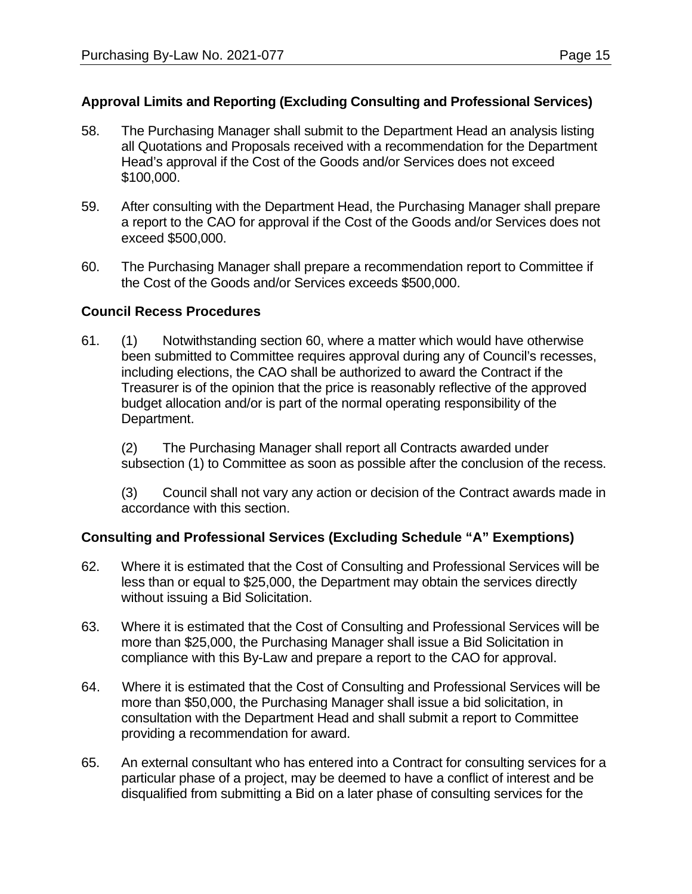## <span id="page-14-0"></span>**Approval Limits and Reporting (Excluding Consulting and Professional Services)**

- 58. The Purchasing Manager shall submit to the Department Head an analysis listing all Quotations and Proposals received with a recommendation for the Department Head's approval if the Cost of the Goods and/or Services does not exceed \$100,000.
- 59. After consulting with the Department Head, the Purchasing Manager shall prepare a report to the CAO for approval if the Cost of the Goods and/or Services does not exceed \$500,000.
- 60. The Purchasing Manager shall prepare a recommendation report to Committee if the Cost of the Goods and/or Services exceeds \$500,000.

#### <span id="page-14-1"></span>**Council Recess Procedures**

61. (1) Notwithstanding section 60, where a matter which would have otherwise been submitted to Committee requires approval during any of Council's recesses, including elections, the CAO shall be authorized to award the Contract if the Treasurer is of the opinion that the price is reasonably reflective of the approved budget allocation and/or is part of the normal operating responsibility of the Department.

(2) The Purchasing Manager shall report all Contracts awarded under subsection (1) to Committee as soon as possible after the conclusion of the recess.

(3) Council shall not vary any action or decision of the Contract awards made in accordance with this section.

#### <span id="page-14-2"></span>**Consulting and Professional Services (Excluding Schedule "A" Exemptions)**

- 62. Where it is estimated that the Cost of Consulting and Professional Services will be less than or equal to \$25,000, the Department may obtain the services directly without issuing a Bid Solicitation.
- 63. Where it is estimated that the Cost of Consulting and Professional Services will be more than \$25,000, the Purchasing Manager shall issue a Bid Solicitation in compliance with this By-Law and prepare a report to the CAO for approval.
- 64. Where it is estimated that the Cost of Consulting and Professional Services will be more than \$50,000, the Purchasing Manager shall issue a bid solicitation, in consultation with the Department Head and shall submit a report to Committee providing a recommendation for award.
- 65. An external consultant who has entered into a Contract for consulting services for a particular phase of a project, may be deemed to have a conflict of interest and be disqualified from submitting a Bid on a later phase of consulting services for the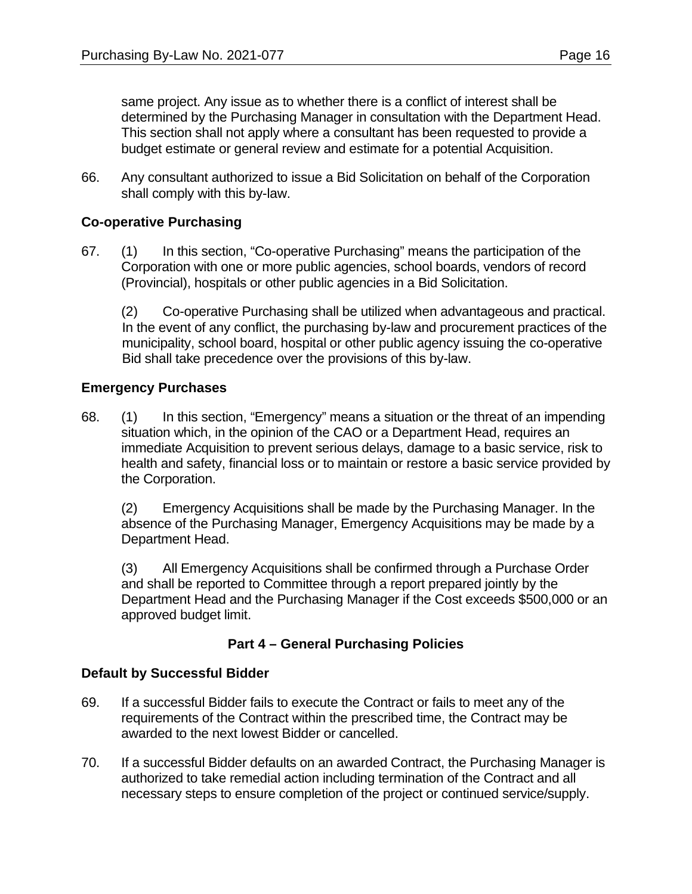same project. Any issue as to whether there is a conflict of interest shall be determined by the Purchasing Manager in consultation with the Department Head. This section shall not apply where a consultant has been requested to provide a budget estimate or general review and estimate for a potential Acquisition.

66. Any consultant authorized to issue a Bid Solicitation on behalf of the Corporation shall comply with this by-law.

## <span id="page-15-0"></span>**Co-operative Purchasing**

67. (1) In this section, "Co-operative Purchasing" means the participation of the Corporation with one or more public agencies, school boards, vendors of record (Provincial), hospitals or other public agencies in a Bid Solicitation.

(2) Co-operative Purchasing shall be utilized when advantageous and practical. In the event of any conflict, the purchasing by-law and procurement practices of the municipality, school board, hospital or other public agency issuing the co-operative Bid shall take precedence over the provisions of this by-law.

#### <span id="page-15-1"></span>**Emergency Purchases**

68. (1) In this section, "Emergency" means a situation or the threat of an impending situation which, in the opinion of the CAO or a Department Head, requires an immediate Acquisition to prevent serious delays, damage to a basic service, risk to health and safety, financial loss or to maintain or restore a basic service provided by the Corporation.

(2) Emergency Acquisitions shall be made by the Purchasing Manager. In the absence of the Purchasing Manager, Emergency Acquisitions may be made by a Department Head.

(3) All Emergency Acquisitions shall be confirmed through a Purchase Order and shall be reported to Committee through a report prepared jointly by the Department Head and the Purchasing Manager if the Cost exceeds \$500,000 or an approved budget limit.

## **Part 4 – General Purchasing Policies**

#### <span id="page-15-3"></span><span id="page-15-2"></span>**Default by Successful Bidder**

- 69. If a successful Bidder fails to execute the Contract or fails to meet any of the requirements of the Contract within the prescribed time, the Contract may be awarded to the next lowest Bidder or cancelled.
- 70. If a successful Bidder defaults on an awarded Contract, the Purchasing Manager is authorized to take remedial action including termination of the Contract and all necessary steps to ensure completion of the project or continued service/supply.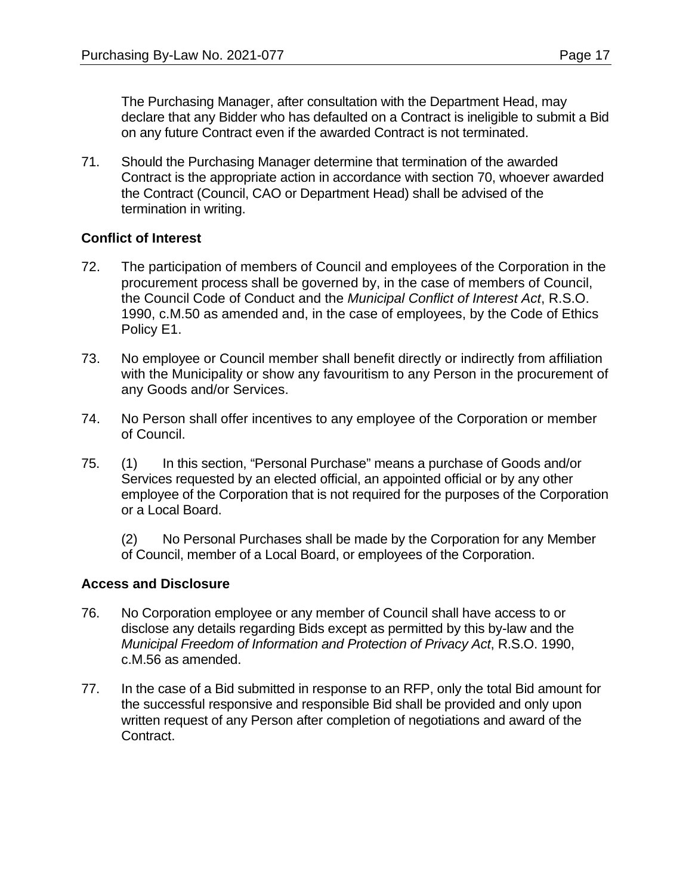The Purchasing Manager, after consultation with the Department Head, may declare that any Bidder who has defaulted on a Contract is ineligible to submit a Bid on any future Contract even if the awarded Contract is not terminated.

71. Should the Purchasing Manager determine that termination of the awarded Contract is the appropriate action in accordance with section 70, whoever awarded the Contract (Council, CAO or Department Head) shall be advised of the termination in writing.

## <span id="page-16-0"></span>**Conflict of Interest**

- 72. The participation of members of Council and employees of the Corporation in the procurement process shall be governed by, in the case of members of Council, the Council Code of Conduct and the *Municipal Conflict of Interest Act*, R.S.O. 1990, c.M.50 as amended and, in the case of employees, by the Code of Ethics Policy E1.
- 73. No employee or Council member shall benefit directly or indirectly from affiliation with the Municipality or show any favouritism to any Person in the procurement of any Goods and/or Services.
- 74. No Person shall offer incentives to any employee of the Corporation or member of Council.
- 75. (1) In this section, "Personal Purchase" means a purchase of Goods and/or Services requested by an elected official, an appointed official or by any other employee of the Corporation that is not required for the purposes of the Corporation or a Local Board.

(2) No Personal Purchases shall be made by the Corporation for any Member of Council, member of a Local Board, or employees of the Corporation.

## <span id="page-16-1"></span>**Access and Disclosure**

- 76. No Corporation employee or any member of Council shall have access to or disclose any details regarding Bids except as permitted by this by-law and the *Municipal Freedom of Information and Protection of Privacy Act*, R.S.O. 1990, c.M.56 as amended.
- 77. In the case of a Bid submitted in response to an RFP, only the total Bid amount for the successful responsive and responsible Bid shall be provided and only upon written request of any Person after completion of negotiations and award of the Contract.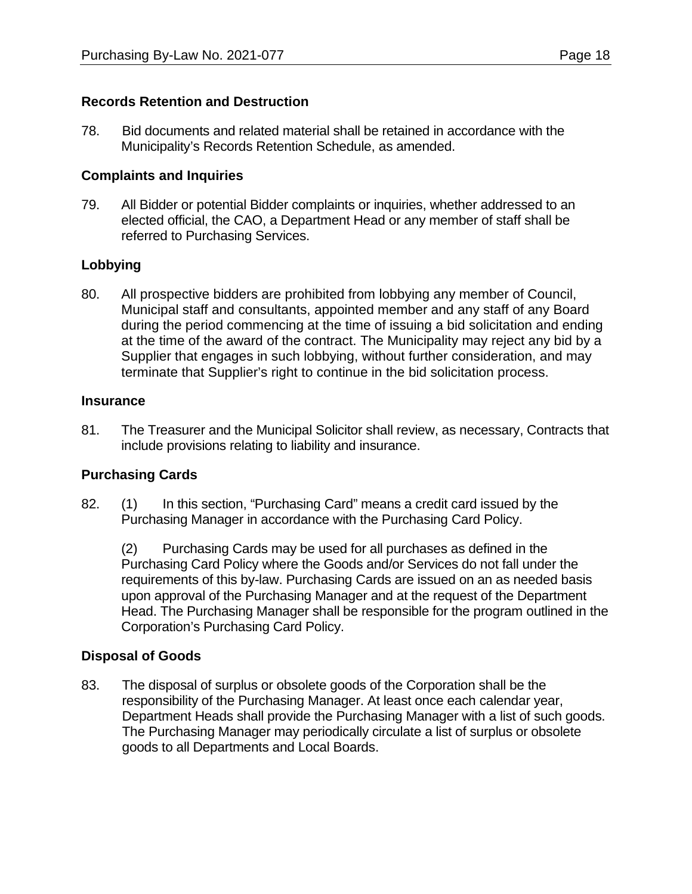## <span id="page-17-0"></span>**Records Retention and Destruction**

78. Bid documents and related material shall be retained in accordance with the Municipality's Records Retention Schedule, as amended.

## <span id="page-17-1"></span>**Complaints and Inquiries**

79. All Bidder or potential Bidder complaints or inquiries, whether addressed to an elected official, the CAO, a Department Head or any member of staff shall be referred to Purchasing Services.

## **Lobbying**

80. All prospective bidders are prohibited from lobbying any member of Council, Municipal staff and consultants, appointed member and any staff of any Board during the period commencing at the time of issuing a bid solicitation and ending at the time of the award of the contract. The Municipality may reject any bid by a Supplier that engages in such lobbying, without further consideration, and may terminate that Supplier's right to continue in the bid solicitation process.

#### <span id="page-17-2"></span>**Insurance**

81. The Treasurer and the Municipal Solicitor shall review, as necessary, Contracts that include provisions relating to liability and insurance.

## <span id="page-17-3"></span>**Purchasing Cards**

82. (1) In this section, "Purchasing Card" means a credit card issued by the Purchasing Manager in accordance with the Purchasing Card Policy.

(2) Purchasing Cards may be used for all purchases as defined in the Purchasing Card Policy where the Goods and/or Services do not fall under the requirements of this by-law. Purchasing Cards are issued on an as needed basis upon approval of the Purchasing Manager and at the request of the Department Head. The Purchasing Manager shall be responsible for the program outlined in the Corporation's Purchasing Card Policy.

#### <span id="page-17-4"></span>**Disposal of Goods**

83. The disposal of surplus or obsolete goods of the Corporation shall be the responsibility of the Purchasing Manager. At least once each calendar year, Department Heads shall provide the Purchasing Manager with a list of such goods. The Purchasing Manager may periodically circulate a list of surplus or obsolete goods to all Departments and Local Boards.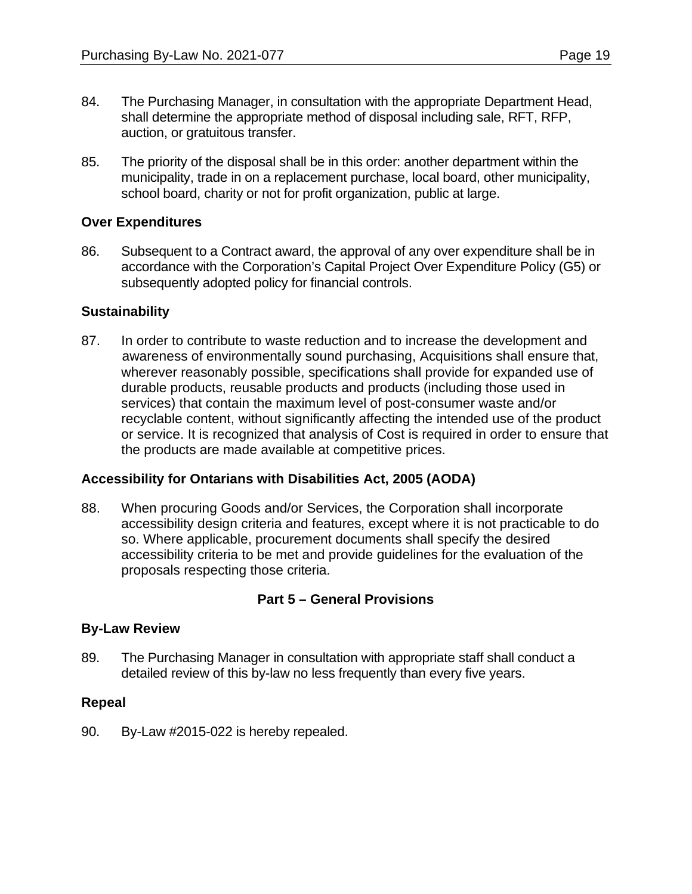- 84. The Purchasing Manager, in consultation with the appropriate Department Head, shall determine the appropriate method of disposal including sale, RFT, RFP, auction, or gratuitous transfer.
- 85. The priority of the disposal shall be in this order: another department within the municipality, trade in on a replacement purchase, local board, other municipality, school board, charity or not for profit organization, public at large.

## <span id="page-18-0"></span>**Over Expenditures**

86. Subsequent to a Contract award, the approval of any over expenditure shall be in accordance with the Corporation's Capital Project Over Expenditure Policy (G5) or subsequently adopted policy for financial controls.

## <span id="page-18-1"></span>**Sustainability**

87. In order to contribute to waste reduction and to increase the development and awareness of environmentally sound purchasing, Acquisitions shall ensure that, wherever reasonably possible, specifications shall provide for expanded use of durable products, reusable products and products (including those used in services) that contain the maximum level of post-consumer waste and/or recyclable content, without significantly affecting the intended use of the product or service. It is recognized that analysis of Cost is required in order to ensure that the products are made available at competitive prices.

#### <span id="page-18-2"></span>**Accessibility for Ontarians with Disabilities Act, 2005 (AODA)**

88. When procuring Goods and/or Services, the Corporation shall incorporate accessibility design criteria and features, except where it is not practicable to do so. Where applicable, procurement documents shall specify the desired accessibility criteria to be met and provide guidelines for the evaluation of the proposals respecting those criteria.

#### **Part 5 – General Provisions**

#### <span id="page-18-4"></span><span id="page-18-3"></span>**By-Law Review**

89. The Purchasing Manager in consultation with appropriate staff shall conduct a detailed review of this by-law no less frequently than every five years.

#### <span id="page-18-5"></span>**Repeal**

90. By-Law #2015-022 is hereby repealed.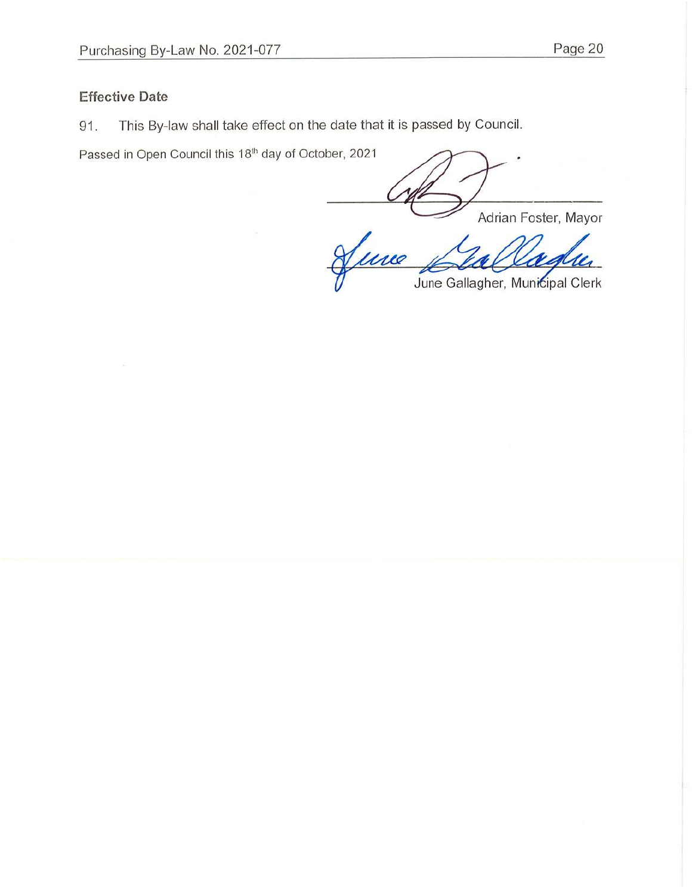## **Effective Date**

This By-law shall take effect on the date that it is passed by Council. 91.

Passed in Open Council this 18th day of October, 2021

Adrian Foster, Mayor

Lune June Gallagher, Municipal Clerk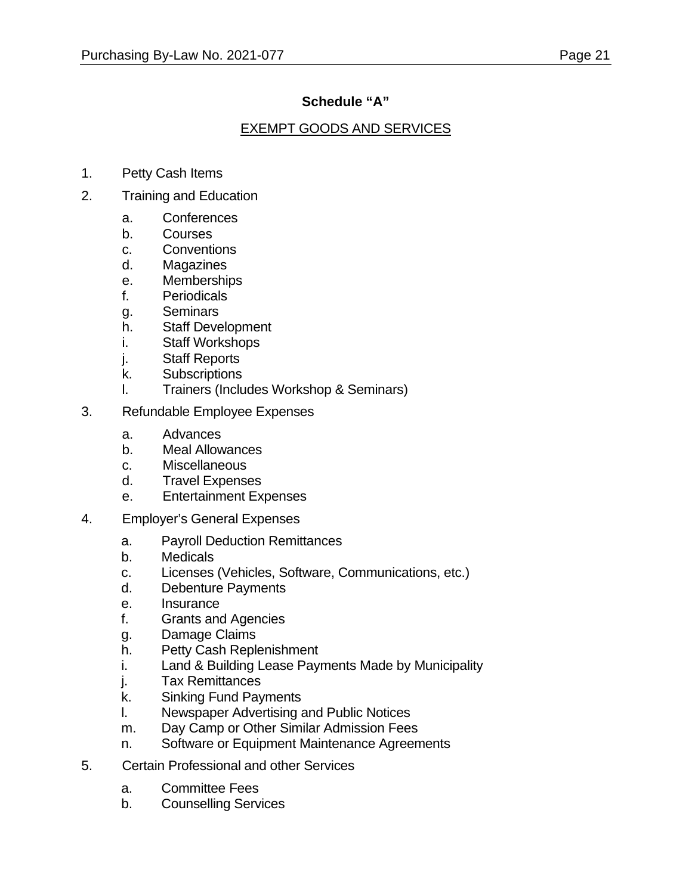## **Schedule "A"**

## EXEMPT GOODS AND SERVICES

- <span id="page-20-0"></span>1. Petty Cash Items
- 2. Training and Education
	- a. Conferences
	- b. Courses
	- c. Conventions
	- d. Magazines
	- e. Memberships
	- f. Periodicals
	- g. Seminars
	- h. Staff Development
	- i. Staff Workshops
	- j. Staff Reports
	- k. Subscriptions
	- l. Trainers (Includes Workshop & Seminars)
- 3. Refundable Employee Expenses
	- a. Advances
	- b. Meal Allowances
	- c. Miscellaneous
	- d. Travel Expenses
	- e. Entertainment Expenses
- 4. Employer's General Expenses
	- a. Payroll Deduction Remittances
	- b. Medicals
	- c. Licenses (Vehicles, Software, Communications, etc.)
	- d. Debenture Payments
	- e. Insurance
	- f. Grants and Agencies
	- g. Damage Claims
	- h. Petty Cash Replenishment
	- i. Land & Building Lease Payments Made by Municipality
	- j. Tax Remittances
	- k. Sinking Fund Payments
	- l. Newspaper Advertising and Public Notices
	- m. Day Camp or Other Similar Admission Fees
	- n. Software or Equipment Maintenance Agreements
- 5. Certain Professional and other Services
	- a. Committee Fees
	- b. Counselling Services